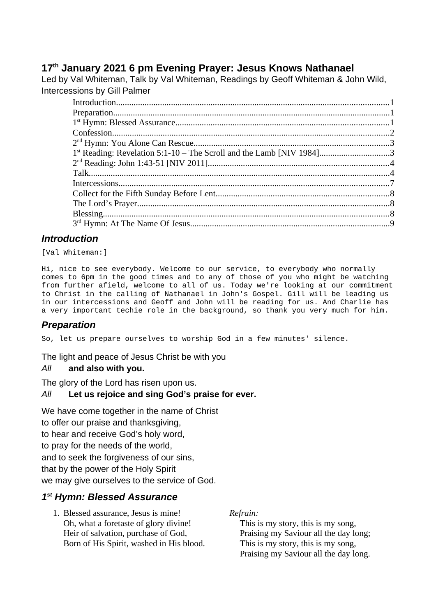# **17th January 2021 6 pm Evening Prayer: Jesus Knows Nathanael**

Led by Val Whiteman, Talk by Val Whiteman, Readings by Geoff Whiteman & John Wild, Intercessions by Gill Palmer

| $1st$ Reading: Revelation 5:1-10 – The Scroll and the Lamb [NIV 1984]3 |  |
|------------------------------------------------------------------------|--|
|                                                                        |  |
|                                                                        |  |
|                                                                        |  |
|                                                                        |  |
|                                                                        |  |
|                                                                        |  |
|                                                                        |  |
|                                                                        |  |

# <span id="page-0-2"></span>*Introduction*

[Val Whiteman:]

Hi, nice to see everybody. Welcome to our service, to everybody who normally comes to 6pm in the good times and to any of those of you who might be watching from further afield, welcome to all of us. Today we're looking at our commitment to Christ in the calling of Nathanael in John's Gospel. Gill will be leading us in our intercessions and Geoff and John will be reading for us. And Charlie has a very important techie role in the background, so thank you very much for him.

# <span id="page-0-1"></span>*Preparation*

So, let us prepare ourselves to worship God in a few minutes' silence.

The light and peace of Jesus Christ be with you

## *All* **and also with you.**

The glory of the Lord has risen upon us.

## *All* **Let us rejoice and sing God's praise for ever.**

We have come together in the name of Christ to offer our praise and thanksgiving, to hear and receive God's holy word, to pray for the needs of the world, and to seek the forgiveness of our sins, that by the power of the Holy Spirit we may give ourselves to the service of God.

# <span id="page-0-0"></span>*1 st Hymn: Blessed Assurance*

1. Blessed assurance, Jesus is mine! Oh, what a foretaste of glory divine! Heir of salvation, purchase of God, Born of His Spirit, washed in His blood. *Refrain:*

This is my story, this is my song, Praising my Saviour all the day long; This is my story, this is my song, Praising my Saviour all the day long.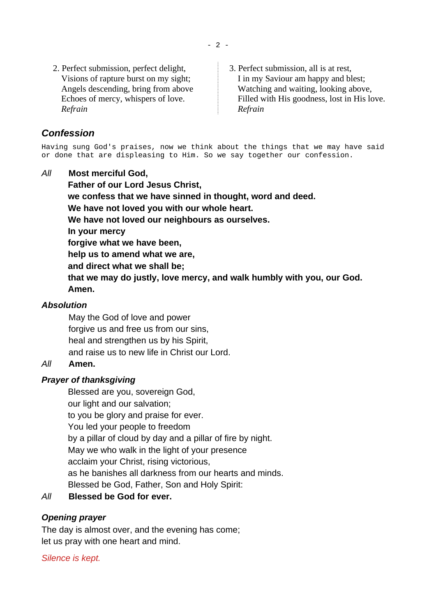- 2. Perfect submission, perfect delight, Visions of rapture burst on my sight; Angels descending, bring from above Echoes of mercy, whispers of love. *Refrain*
- 3. Perfect submission, all is at rest, I in my Saviour am happy and blest; Watching and waiting, looking above, Filled with His goodness, lost in His love. *Refrain*

## <span id="page-1-0"></span>*Confession*

Having sung God's praises, now we think about the things that we may have said or done that are displeasing to Him. So we say together our confession.

*All* **Most merciful God,**

**Father of our Lord Jesus Christ, we confess that we have sinned in thought, word and deed. We have not loved you with our whole heart. We have not loved our neighbours as ourselves. In your mercy forgive what we have been, help us to amend what we are, and direct what we shall be; that we may do justly, love mercy, and walk humbly with you, our God. Amen.**

#### *Absolution*

May the God of love and power forgive us and free us from our sins, heal and strengthen us by his Spirit, and raise us to new life in Christ our Lord.

#### *All* **Amen.**

#### *Prayer of thanksgiving*

Blessed are you, sovereign God, our light and our salvation; to you be glory and praise for ever. You led your people to freedom by a pillar of cloud by day and a pillar of fire by night. May we who walk in the light of your presence acclaim your Christ, rising victorious, as he banishes all darkness from our hearts and minds. Blessed be God, Father, Son and Holy Spirit:

## *All* **Blessed be God for ever.**

## *Opening prayer*

The day is almost over, and the evening has come; let us pray with one heart and mind.

*Silence is kept.*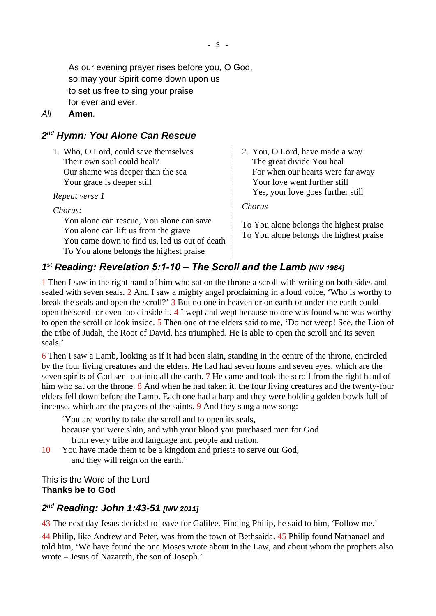As our evening prayer rises before you, O God, so may your Spirit come down upon us to set us free to sing your praise for ever and ever.

#### *All* **Amen***.*

## <span id="page-2-2"></span>*2 nd Hymn: You Alone Can Rescue*

1. Who, O Lord, could save themselves Their own soul could heal? Our shame was deeper than the sea Your grace is deeper still

*Repeat verse 1*

*Chorus:*

You alone can rescue, You alone can save You alone can lift us from the grave You came down to find us, led us out of death To You alone belongs the highest praise

2. You, O Lord, have made a way The great divide You heal For when our hearts were far away Your love went further still Yes, your love goes further still

*Chorus*

To You alone belongs the highest praise To You alone belongs the highest praise

# <span id="page-2-1"></span>*1 st Reading: Revelation 5:1-10 – The Scroll and the Lamb [NIV 1984]*

1 Then I saw in the right hand of him who sat on the throne a scroll with writing on both sides and sealed with seven seals. 2 And I saw a mighty angel proclaiming in a loud voice, 'Who is worthy to break the seals and open the scroll?' 3 But no one in heaven or on earth or under the earth could open the scroll or even look inside it. 4 I wept and wept because no one was found who was worthy to open the scroll or look inside. 5 Then one of the elders said to me, 'Do not weep! See, the Lion of the tribe of Judah, the Root of David, has triumphed. He is able to open the scroll and its seven seals.'

6 Then I saw a Lamb, looking as if it had been slain, standing in the centre of the throne, encircled by the four living creatures and the elders. He had had seven horns and seven eyes, which are the seven spirits of God sent out into all the earth. 7 He came and took the scroll from the right hand of him who sat on the throne. 8 And when he had taken it, the four living creatures and the twenty-four elders fell down before the Lamb. Each one had a harp and they were holding golden bowls full of incense, which are the prayers of the saints. 9 And they sang a new song:

'You are worthy to take the scroll and to open its seals, because you were slain, and with your blood you purchased men for God from every tribe and language and people and nation.

10 You have made them to be a kingdom and priests to serve our God, and they will reign on the earth.'

This is the Word of the Lord **Thanks be to God**

## <span id="page-2-0"></span>*2 nd Reading: John 1:43-51 [NIV 2011]*

43 The next day Jesus decided to leave for Galilee. Finding Philip, he said to him, 'Follow me.'

44 Philip, like Andrew and Peter, was from the town of Bethsaida. 45 Philip found Nathanael and told him, 'We have found the one Moses wrote about in the Law, and about whom the prophets also wrote – Jesus of Nazareth, the son of Joseph.'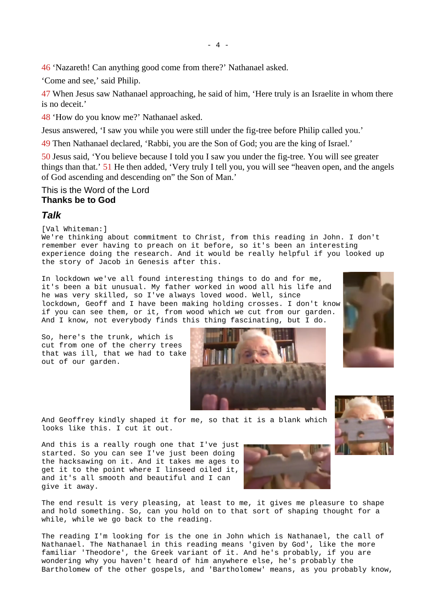46 'Nazareth! Can anything good come from there?' Nathanael asked.

'Come and see,' said Philip.

47 When Jesus saw Nathanael approaching, he said of him, 'Here truly is an Israelite in whom there is no deceit.'

48 'How do you know me?' Nathanael asked.

Jesus answered, 'I saw you while you were still under the fig-tree before Philip called you.'

49 Then Nathanael declared, 'Rabbi, you are the Son of God; you are the king of Israel.'

50 Jesus said, 'You believe because I told you I saw you under the fig-tree. You will see greater things than that.' 51 He then added, 'Very truly I tell you, you will see "heaven open, and the angels of God ascending and descending on" the Son of Man.'

## This is the Word of the Lord **Thanks be to God**

## <span id="page-3-0"></span>*Talk*

[Val Whiteman:]

We're thinking about commitment to Christ, from this reading in John. I don't remember ever having to preach on it before, so it's been an interesting experience doing the research. And it would be really helpful if you looked up the story of Jacob in Genesis after this.

In lockdown we've all found interesting things to do and for me, it's been a bit unusual. My father worked in wood all his life and he was very skilled, so I've always loved wood. Well, since lockdown, Geoff and I have been making holding crosses. I don't know if you can see them, or it, from wood which we cut from our garden. And I know, not everybody finds this thing fascinating, but I do.





And Geoffrey kindly shaped it for me, so that it is a blank which looks like this. I cut it out.

And this is a really rough one that I've just started. So you can see I've just been doing the hacksawing on it. And it takes me ages to get it to the point where I linseed oiled it, and it's all smooth and beautiful and I can give it away.





The reading I'm looking for is the one in John which is Nathanael, the call of Nathanael. The Nathanael in this reading means 'given by God', like the more familiar 'Theodore', the Greek variant of it. And he's probably, if you are wondering why you haven't heard of him anywhere else, he's probably the Bartholomew of the other gospels, and 'Bartholomew' means, as you probably know,

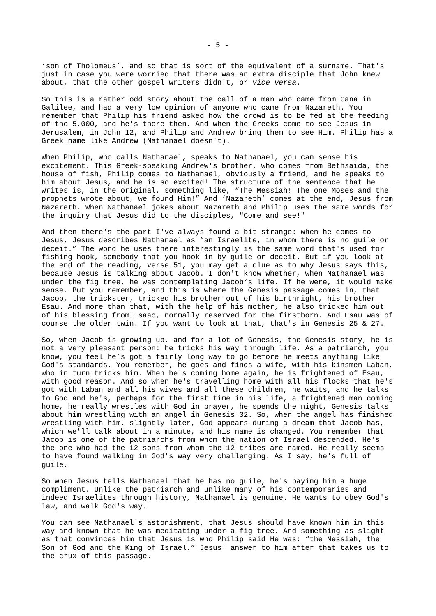'son of Tholomeus', and so that is sort of the equivalent of a surname. That's just in case you were worried that there was an extra disciple that John knew about, that the other gospel writers didn't, or *vice versa*.

So this is a rather odd story about the call of a man who came from Cana in Galilee, and had a very low opinion of anyone who came from Nazareth. You remember that Philip his friend asked how the crowd is to be fed at the feeding of the 5,000, and he's there then. And when the Greeks come to see Jesus in Jerusalem, in John 12, and Philip and Andrew bring them to see Him. Philip has a Greek name like Andrew (Nathanael doesn't).

When Philip, who calls Nathanael, speaks to Nathanael, you can sense his excitement. This Greek-speaking Andrew's brother, who comes from Bethsaida, the house of fish, Philip comes to Nathanael, obviously a friend, and he speaks to him about Jesus, and he is so excited! The structure of the sentence that he writes is, in the original, something like, "The Messiah! The one Moses and the prophets wrote about, we found Him!" And 'Nazareth' comes at the end, Jesus from Nazareth. When Nathanael jokes about Nazareth and Philip uses the same words for the inquiry that Jesus did to the disciples, "Come and see!"

And then there's the part I've always found a bit strange: when he comes to Jesus, Jesus describes Nathanael as "an Israelite, in whom there is no guile or deceit." The word he uses there interestingly is the same word that's used for fishing hook, somebody that you hook in by guile or deceit. But if you look at the end of the reading, verse 51, you may get a clue as to why Jesus says this, because Jesus is talking about Jacob. I don't know whether, when Nathanael was under the fig tree, he was contemplating Jacob's life. If he were, it would make sense. But you remember, and this is where the Genesis passage comes in, that Jacob, the trickster, tricked his brother out of his birthright, his brother Esau. And more than that, with the help of his mother, he also tricked him out of his blessing from Isaac, normally reserved for the firstborn. And Esau was of course the older twin. If you want to look at that, that's in Genesis 25 & 27.

So, when Jacob is growing up, and for a lot of Genesis, the Genesis story, he is not a very pleasant person: he tricks his way through life. As a patriarch, you know, you feel he's got a fairly long way to go before he meets anything like God's standards. You remember, he goes and finds a wife, with his kinsmen Laban, who in turn tricks him. When he's coming home again, he is frightened of Esau, with good reason. And so when he's travelling home with all his flocks that he's got with Laban and all his wives and all these children, he waits, and he talks to God and he's, perhaps for the first time in his life, a frightened man coming home, he really wrestles with God in prayer, he spends the night, Genesis talks about him wrestling with an angel in Genesis 32. So, when the angel has finished wrestling with him, slightly later, God appears during a dream that Jacob has, which we'll talk about in a minute, and his name is changed. You remember that Jacob is one of the patriarchs from whom the nation of Israel descended. He's the one who had the 12 sons from whom the 12 tribes are named. He really seems to have found walking in God's way very challenging. As I say, he's full of guile.

So when Jesus tells Nathanael that he has no guile, he's paying him a huge compliment. Unlike the patriarch and unlike many of his contemporaries and indeed Israelites through history, Nathanael is genuine. He wants to obey God's law, and walk God's way.

You can see Nathanael's astonishment, that Jesus should have known him in this way and known that he was meditating under a fig tree. And something as slight as that convinces him that Jesus is who Philip said He was: "the Messiah, the Son of God and the King of Israel." Jesus' answer to him after that takes us to the crux of this passage.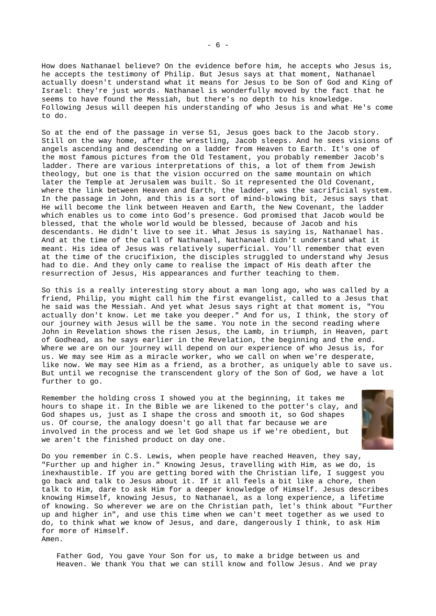How does Nathanael believe? On the evidence before him, he accepts who Jesus is, he accepts the testimony of Philip. But Jesus says at that moment, Nathanael actually doesn't understand what it means for Jesus to be Son of God and King of Israel: they're just words. Nathanael is wonderfully moved by the fact that he seems to have found the Messiah, but there's no depth to his knowledge. Following Jesus will deepen his understanding of who Jesus is and what He's come to do.

So at the end of the passage in verse 51, Jesus goes back to the Jacob story. Still on the way home, after the wrestling, Jacob sleeps. And he sees visions of angels ascending and descending on a ladder from Heaven to Earth. It's one of the most famous pictures from the Old Testament, you probably remember Jacob's ladder. There are various interpretations of this, a lot of them from Jewish theology, but one is that the vision occurred on the same mountain on which later the Temple at Jerusalem was built. So it represented the Old Covenant, where the link between Heaven and Earth, the ladder, was the sacrificial system. In the passage in John, and this is a sort of mind-blowing bit, Jesus says that He will become the link between Heaven and Earth, the New Covenant, the ladder which enables us to come into God's presence. God promised that Jacob would be blessed, that the whole world would be blessed, because of Jacob and his descendants. He didn't live to see it. What Jesus is saying is, Nathanael has. And at the time of the call of Nathanael, Nathanael didn't understand what it meant. His idea of Jesus was relatively superficial. You'll remember that even at the time of the crucifixion, the disciples struggled to understand why Jesus had to die. And they only came to realise the impact of His death after the resurrection of Jesus, His appearances and further teaching to them.

So this is a really interesting story about a man long ago, who was called by a friend, Philip, you might call him the first evangelist, called to a Jesus that he said was the Messiah. And yet what Jesus says right at that moment is, "You actually don't know. Let me take you deeper." And for us, I think, the story of our journey with Jesus will be the same. You note in the second reading where John in Revelation shows the risen Jesus, the Lamb, in triumph, in Heaven, part of Godhead, as he says earlier in the Revelation, the beginning and the end. Where we are on our journey will depend on our experience of who Jesus is, for us. We may see Him as a miracle worker, who we call on when we're desperate, like now. We may see Him as a friend, as a brother, as uniquely able to save us. But until we recognise the transcendent glory of the Son of God, we have a lot further to go.

Remember the holding cross I showed you at the beginning, it takes me hours to shape it. In the Bible we are likened to the potter's clay, and God shapes us, just as I shape the cross and smooth it, so God shapes us. Of course, the analogy doesn't go all that far because we are involved in the process and we let God shape us if we're obedient, but we aren't the finished product on day one.



Do you remember in C.S. Lewis, when people have reached Heaven, they say, "Further up and higher in." Knowing Jesus, travelling with Him, as we do, is inexhaustible. If you are getting bored with the Christian life, I suggest you go back and talk to Jesus about it. If it all feels a bit like a chore, then talk to Him, dare to ask Him for a deeper knowledge of Himself. Jesus describes knowing Himself, knowing Jesus, to Nathanael, as a long experience, a lifetime of knowing. So wherever we are on the Christian path, let's think about "Further up and higher in", and use this time when we can't meet together as we used to do, to think what we know of Jesus, and dare, dangerously I think, to ask Him for more of Himself. Amen.

Father God, You gave Your Son for us, to make a bridge between us and Heaven. We thank You that we can still know and follow Jesus. And we pray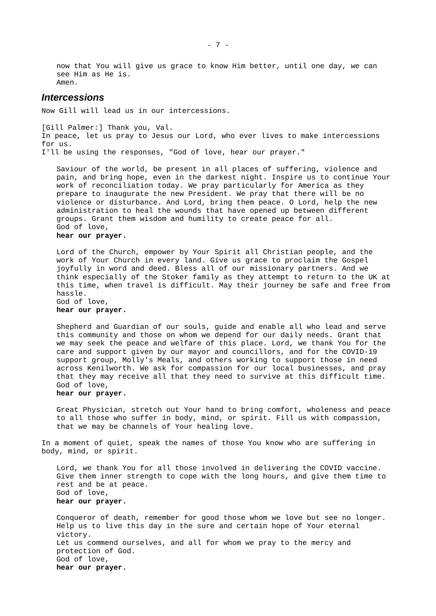now that You will give us grace to know Him better, until one day, we can see Him as He is. Amen.

#### <span id="page-6-0"></span>*Intercessions*

Now Gill will lead us in our intercessions.

[Gill Palmer:] Thank you, Val. In peace, let us pray to Jesus our Lord, who ever lives to make intercessions for us. I'll be using the responses, "God of love, hear our prayer."

Saviour of the world, be present in all places of suffering, violence and pain, and bring hope, even in the darkest night. Inspire us to continue Your work of reconciliation today. We pray particularly for America as they prepare to inaugurate the new President. We pray that there will be no violence or disturbance. And Lord, bring them peace. O Lord, help the new administration to heal the wounds that have opened up between different groups. Grant them wisdom and humility to create peace for all. God of love,

#### **hear our prayer.**

Lord of the Church, empower by Your Spirit all Christian people, and the work of Your Church in every land. Give us grace to proclaim the Gospel joyfully in word and deed. Bless all of our missionary partners. And we think especially of the Stoker family as they attempt to return to the UK at this time, when travel is difficult. May their journey be safe and free from hassle. God of love,

**hear our prayer.**

Shepherd and Guardian of our souls, guide and enable all who lead and serve this community and those on whom we depend for our daily needs. Grant that we may seek the peace and welfare of this place. Lord, we thank You for the care and support given by our mayor and councillors, and for the COVID-19 support group, Molly's Meals, and others working to support those in need across Kenilworth. We ask for compassion for our local businesses, and pray that they may receive all that they need to survive at this difficult time. God of love,

**hear our prayer.**

Great Physician, stretch out Your hand to bring comfort, wholeness and peace to all those who suffer in body, mind, or spirit. Fill us with compassion, that we may be channels of Your healing love.

In a moment of quiet, speak the names of those You know who are suffering in body, mind, or spirit.

Lord, we thank You for all those involved in delivering the COVID vaccine. Give them inner strength to cope with the long hours, and give them time to rest and be at peace. God of love, **hear our prayer.**

Conqueror of death, remember for good those whom we love but see no longer. Help us to live this day in the sure and certain hope of Your eternal victory. Let us commend ourselves, and all for whom we pray to the mercy and protection of God. God of love, **hear our prayer.**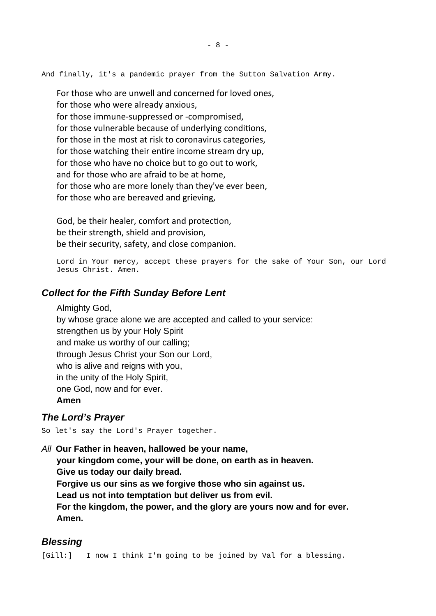And finally, it's a pandemic prayer from the Sutton Salvation Army.

For those who are unwell and concerned for loved ones, for those who were already anxious, for those immune-suppressed or -compromised, for those vulnerable because of underlying conditions, for those in the most at risk to coronavirus categories, for those watching their entire income stream dry up, for those who have no choice but to go out to work, and for those who are afraid to be at home, for those who are more lonely than they've ever been, for those who are bereaved and grieving,

God, be their healer, comfort and protection, be their strength, shield and provision, be their security, safety, and close companion.

Lord in Your mercy, accept these prayers for the sake of Your Son, our Lord Jesus Christ. Amen.

## <span id="page-7-2"></span>*Collect for the Fifth Sunday Before Lent*

Almighty God, by whose grace alone we are accepted and called to your service: strengthen us by your Holy Spirit and make us worthy of our calling; through Jesus Christ your Son our Lord, who is alive and reigns with you, in the unity of the Holy Spirit, one God, now and for ever. **Amen**

## <span id="page-7-1"></span>*The Lord's Prayer*

So let's say the Lord's Prayer together.

*All* **Our Father in heaven, hallowed be your name,**

**your kingdom come, your will be done, on earth as in heaven. Give us today our daily bread. Forgive us our sins as we forgive those who sin against us. Lead us not into temptation but deliver us from evil. For the kingdom, the power, and the glory are yours now and for ever. Amen.**

## <span id="page-7-0"></span>*Blessing*

[Gill:] I now I think I'm going to be joined by Val for a blessing.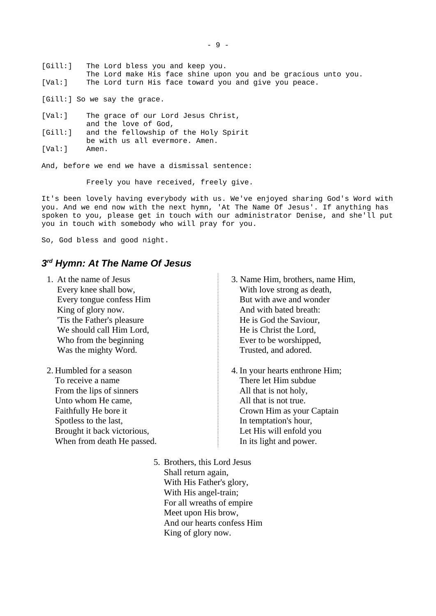[Gill:] The Lord bless you and keep you. The Lord make His face shine upon you and be gracious unto you. [Val:] The Lord turn His face toward you and give you peace.

[Gill:] So we say the grace.

[Val:] The grace of our Lord Jesus Christ, and the love of God, [Gill:] and the fellowship of the Holy Spirit be with us all evermore. Amen.

[Val:] Amen.

And, before we end we have a dismissal sentence:

Freely you have received, freely give.

It's been lovely having everybody with us. We've enjoyed sharing God's Word with you. And we end now with the next hymn, 'At The Name Of Jesus'. If anything has spoken to you, please get in touch with our administrator Denise, and she'll put you in touch with somebody who will pray for you.

So, God bless and good night.

## <span id="page-8-0"></span>*3 rd Hymn: At The Name Of Jesus*

- 1. At the name of Jesus Every knee shall bow, Every tongue confess Him King of glory now. 'Tis the Father's pleasure We should call Him Lord, Who from the beginning Was the mighty Word.
- 2. Humbled for a season To receive a name From the lips of sinners Unto whom He came, Faithfully He bore it Spotless to the last, Brought it back victorious, When from death He passed.
- 3. Name Him, brothers, name Him, With love strong as death, But with awe and wonder And with bated breath: He is God the Saviour, He is Christ the Lord, Ever to be worshipped, Trusted, and adored.
- 4. In your hearts enthrone Him; There let Him subdue All that is not holy, All that is not true. Crown Him as your Captain In temptation's hour, Let His will enfold you In its light and power.
- 5. Brothers, this Lord Jesus Shall return again, With His Father's glory, With His angel-train; For all wreaths of empire Meet upon His brow, And our hearts confess Him King of glory now.